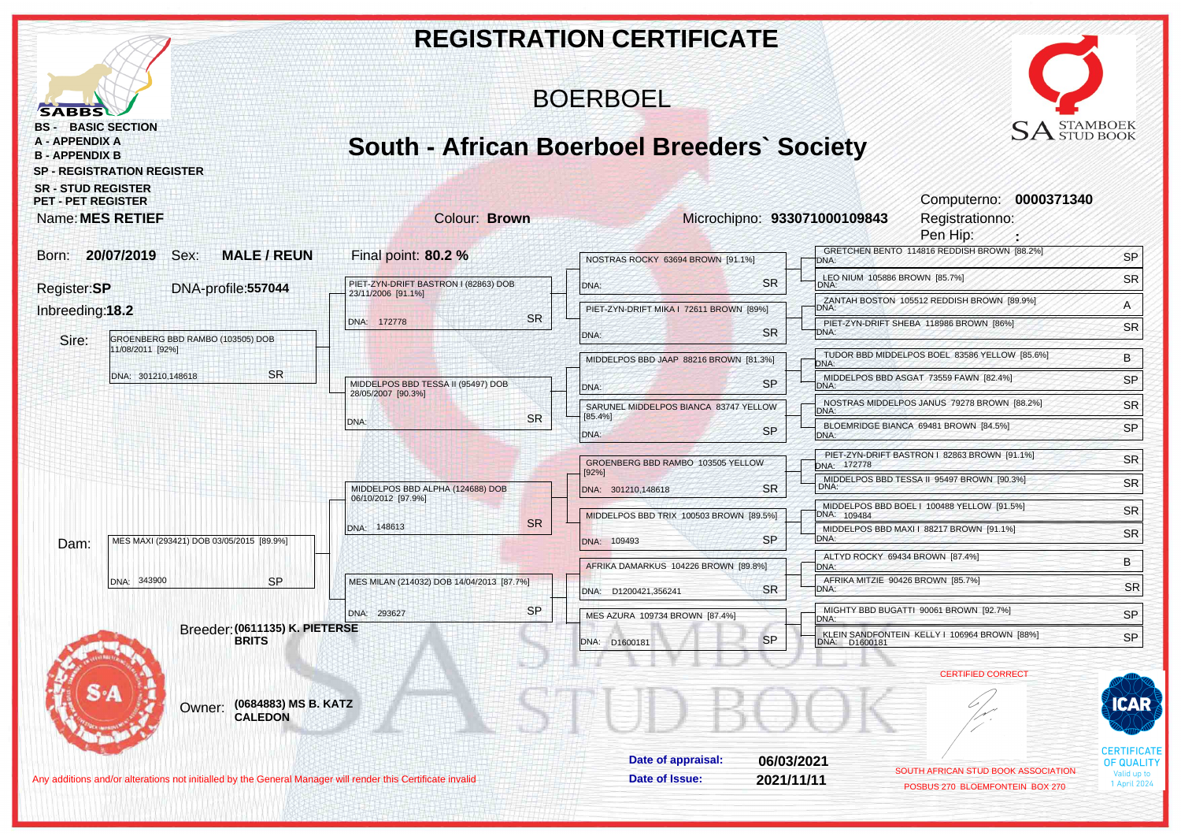|                                                                                                                                                |                                        |                                                          |           | <b>REGISTRATION CERTIFICATE</b>                   |            |                                           |                                                                        |                                         |
|------------------------------------------------------------------------------------------------------------------------------------------------|----------------------------------------|----------------------------------------------------------|-----------|---------------------------------------------------|------------|-------------------------------------------|------------------------------------------------------------------------|-----------------------------------------|
| <b>SABBS</b>                                                                                                                                   |                                        |                                                          |           | <b>BOERBOEL</b>                                   |            |                                           |                                                                        |                                         |
| <b>BASIC SECTION</b><br>BS -<br><b>A - APPENDIX A</b><br><b>B-APPENDIX B</b><br><b>SP - REGISTRATION REGISTER</b><br><b>SR - STUD REGISTER</b> |                                        |                                                          |           | <b>South - African Boerboel Breeders' Society</b> |            |                                           | $SA$ STAMBOEK                                                          |                                         |
| <b>PET - PET REGISTER</b><br>Name: MES RETIEF                                                                                                  |                                        | <b>Colour: Brown</b>                                     |           |                                                   |            | Microchipno: 933071000109843              | Computerno: 0000371340<br>Registrationno:<br>Pen Hip:                  |                                         |
| 20/07/2019<br>Sex:<br>Born:                                                                                                                    | <b>MALE/REUN</b>                       | Final point: 80.2 %                                      |           | NOSTRAS ROCKY 63694 BROWN [91.1%]                 |            | DNA:                                      | GRETCHEN BENTO 114816 REDDISH BROWN [88.2%]                            | SP                                      |
| Register:SP                                                                                                                                    | DNA-profile:557044                     | PIET-ZYN-DRIFT BASTRON I (82863) DOB                     |           | DNA:                                              | <b>SR</b>  | LEO NIUM 105886 BROWN [85.7%]<br>DNA:     |                                                                        | SR                                      |
| Inbreeding:18.2                                                                                                                                |                                        | 23/11/2006 [91.1%]                                       |           | PIET-ZYN-DRIFT MIKA   72611 BROWN [89%]           |            | DNA:                                      | ZANTAH BOSTON 105512 REDDISH BROWN [89.9%]                             | A                                       |
|                                                                                                                                                |                                        | DNA: 172778                                              | <b>SR</b> | DNA:                                              | <b>SR</b>  | TDNA:                                     | PIET-ZYN-DRIFT SHEBA 118986 BROWN [86%]                                | SR                                      |
| GROENBERG BBD RAMBO (103505) DOB<br>Sire:<br>11/08/2011 [92%]                                                                                  |                                        |                                                          |           | MIDDELPOS BBD JAAP 88216 BROWN [81.3%]            |            |                                           | TUDOR BBD MIDDELPOS BOEL 83586 YELLOW [85.6%]                          | B                                       |
| DNA: 301210,148618                                                                                                                             | <b>SR</b>                              |                                                          |           |                                                   |            | DNA:                                      | MIDDELPOS BBD ASGAT 73559 FAWN [82.4%]                                 | SP                                      |
|                                                                                                                                                |                                        | MIDDELPOS BBD TESSA II (95497) DOB<br>28/05/2007 [90.3%] |           | DNA:                                              | <b>SP</b>  | DNA:                                      | NOSTRAS MIDDELPOS JANUS 79278 BROWN [88.2%]                            | SR                                      |
|                                                                                                                                                |                                        | DNA:                                                     | <b>SR</b> | SARUNEL MIDDELPOS BIANCA 83747 YELLOW<br>[85.4%]  |            | DNA:                                      | BLOEMRIDGE BIANCA 69481 BROWN [84.5%]                                  | SP                                      |
|                                                                                                                                                |                                        |                                                          |           | DNA:                                              | <b>SP</b>  | DNA:                                      |                                                                        |                                         |
|                                                                                                                                                |                                        |                                                          |           | GROENBERG BBD RAMBO 103505 YELLOW<br>[92%]        |            | DNA: 172778                               | PIET-ZYN-DRIFT BASTRON   82863 BROWN [91.1%]                           | <b>SR</b>                               |
|                                                                                                                                                |                                        | MIDDELPOS BBD ALPHA (124688) DOB                         |           | DNA: 301210,148618                                | <b>SR</b>  | DNA:                                      | MIDDELPOS BBD TESSA II 95497 BROWN [90.3%]                             | <b>SR</b>                               |
|                                                                                                                                                |                                        | 06/10/2012 [97.9%]                                       |           | MIDDELPOS BBD TRIX 100503 BROWN [89.5%]           |            | DNA: 109484                               | MIDDELPOS BBD BOEL   100488 YELLOW [91.5%]                             | <b>SR</b>                               |
| MES MAXI (293421) DOB 03/05/2015 [89.9%]<br>Dam:                                                                                               |                                        | DNA: 148613                                              | <b>SR</b> | DNA: 109493                                       | <b>SP</b>  | DNA:                                      | MIDDELPOS BBD MAXI I 88217 BROWN [91.1%]                               | <b>SR</b>                               |
|                                                                                                                                                |                                        |                                                          |           | AFRIKA DAMARKUS 104226 BROWN [89.8%]              |            | ALTYD ROCKY 69434 BROWN [87.4%]<br>DNA:   |                                                                        | B                                       |
| DNA: 343900                                                                                                                                    | <b>SP</b>                              | MES MILAN (214032) DOB 14/04/2013 [87.7%]                |           |                                                   | <b>SR</b>  | AFRIKA MITZIE 90426 BROWN [85.7%]<br>DNA: |                                                                        | <b>SR</b>                               |
|                                                                                                                                                |                                        | DNA: 293627                                              | <b>SP</b> | DNA: D1200421,356241                              |            |                                           | MIGHTY BBD BUGATTI 90061 BROWN [92.7%]                                 |                                         |
|                                                                                                                                                | Breeder: (0611135) K. PIETERSE         |                                                          |           | MES AZURA 109734 BROWN [87.4%]                    |            | DNA:                                      | KLEIN SANDFONTEIN KELLY I 106964 BROWN [88%]                           | SP<br>SP                                |
|                                                                                                                                                | <b>BRITS</b>                           |                                                          |           | DNA: D1600181                                     | <b>SP</b>  | DNA: D1600181                             |                                                                        |                                         |
|                                                                                                                                                |                                        |                                                          |           |                                                   |            |                                           | <b>CERTIFIED CORRECT</b>                                               |                                         |
| Owner:                                                                                                                                         | (0684883) MS B. KATZ<br><b>CALEDON</b> |                                                          |           |                                                   |            |                                           |                                                                        | CAR                                     |
|                                                                                                                                                |                                        |                                                          |           | Date of appraisal:                                | 06/03/2021 |                                           |                                                                        | <b>CERTIFICATE</b><br><b>OF QUALITY</b> |
| Any additions and/or alterations not initialled by the General Manager will render this Certificate invalid                                    |                                        |                                                          |           | Date of Issue:                                    | 2021/11/11 |                                           | SOUTH AFRICAN STUD BOOK ASSOCIATION<br>POSBUS 270 BLOEMFONTEIN BOX 270 | alid up to<br>1 April 2024              |
|                                                                                                                                                |                                        |                                                          |           |                                                   |            |                                           |                                                                        |                                         |